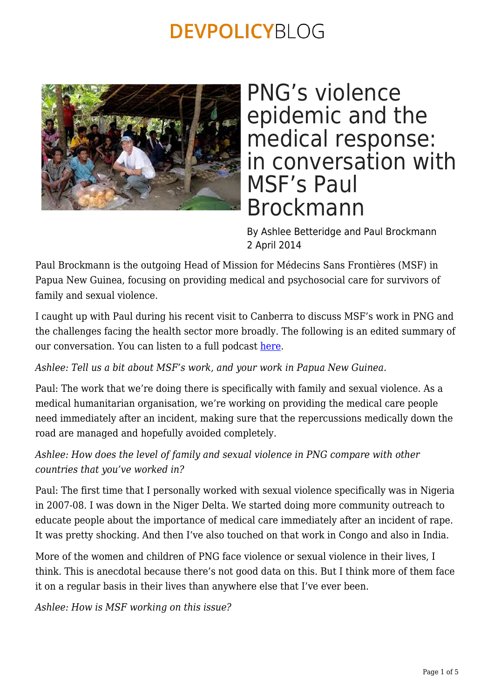

## PNG's violence epidemic and the medical response: in conversation with MSF's Paul Brockmann

By Ashlee Betteridge and Paul Brockmann 2 April 2014

Paul Brockmann is the outgoing Head of Mission for Médecins Sans Frontières (MSF) in Papua New Guinea, focusing on providing medical and psychosocial care for survivors of family and sexual violence.

I caught up with Paul during his recent visit to Canberra to discuss MSF's work in PNG and the challenges facing the health sector more broadly. The following is an edited summary of our conversation. You can listen to a full podcast [here.](http://feeds.feedburner.com/devpolicypodcast)

*Ashlee: Tell us a bit about MSF's work, and your work in Papua New Guinea.*

Paul: The work that we're doing there is specifically with family and sexual violence. As a medical humanitarian organisation, we're working on providing the medical care people need immediately after an incident, making sure that the repercussions medically down the road are managed and hopefully avoided completely.

*Ashlee: How does the level of family and sexual violence in PNG compare with other countries that you've worked in?*

Paul: The first time that I personally worked with sexual violence specifically was in Nigeria in 2007-08. I was down in the Niger Delta. We started doing more community outreach to educate people about the importance of medical care immediately after an incident of rape. It was pretty shocking. And then I've also touched on that work in Congo and also in India.

More of the women and children of PNG face violence or sexual violence in their lives, I think. This is anecdotal because there's not good data on this. But I think more of them face it on a regular basis in their lives than anywhere else that I've ever been.

*Ashlee: How is MSF working on this issue?*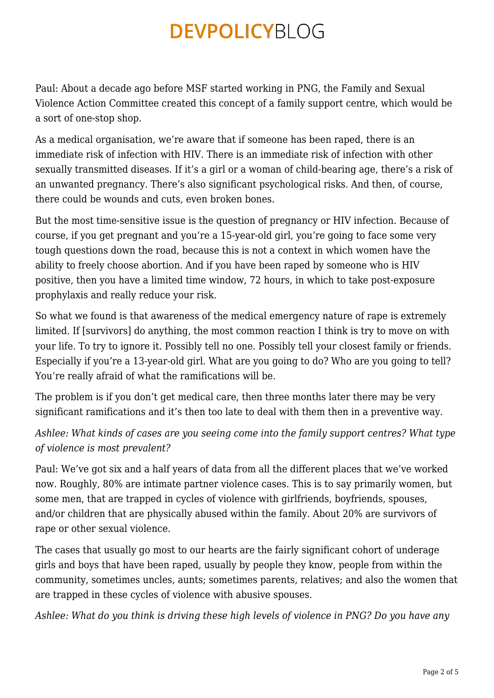Paul: About a decade ago before MSF started working in PNG, the Family and Sexual Violence Action Committee created this concept of a family support centre, which would be a sort of one-stop shop.

As a medical organisation, we're aware that if someone has been raped, there is an immediate risk of infection with HIV. There is an immediate risk of infection with other sexually transmitted diseases. If it's a girl or a woman of child-bearing age, there's a risk of an unwanted pregnancy. There's also significant psychological risks. And then, of course, there could be wounds and cuts, even broken bones.

But the most time-sensitive issue is the question of pregnancy or HIV infection. Because of course, if you get pregnant and you're a 15-year-old girl, you're going to face some very tough questions down the road, because this is not a context in which women have the ability to freely choose abortion. And if you have been raped by someone who is HIV positive, then you have a limited time window, 72 hours, in which to take post-exposure prophylaxis and really reduce your risk.

So what we found is that awareness of the medical emergency nature of rape is extremely limited. If [survivors] do anything, the most common reaction I think is try to move on with your life. To try to ignore it. Possibly tell no one. Possibly tell your closest family or friends. Especially if you're a 13-year-old girl. What are you going to do? Who are you going to tell? You're really afraid of what the ramifications will be.

The problem is if you don't get medical care, then three months later there may be very significant ramifications and it's then too late to deal with them then in a preventive way.

*Ashlee: What kinds of cases are you seeing come into the family support centres? What type of violence is most prevalent?*

Paul: We've got six and a half years of data from all the different places that we've worked now. Roughly, 80% are intimate partner violence cases. This is to say primarily women, but some men, that are trapped in cycles of violence with girlfriends, boyfriends, spouses, and/or children that are physically abused within the family. About 20% are survivors of rape or other sexual violence.

The cases that usually go most to our hearts are the fairly significant cohort of underage girls and boys that have been raped, usually by people they know, people from within the community, sometimes uncles, aunts; sometimes parents, relatives; and also the women that are trapped in these cycles of violence with abusive spouses.

*Ashlee: What do you think is driving these high levels of violence in PNG? Do you have any*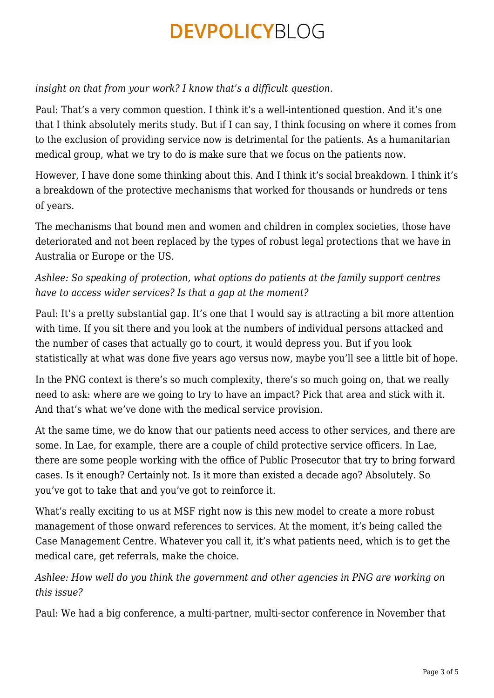### *insight on that from your work? I know that's a difficult question.*

Paul: That's a very common question. I think it's a well-intentioned question. And it's one that I think absolutely merits study. But if I can say, I think focusing on where it comes from to the exclusion of providing service now is detrimental for the patients. As a humanitarian medical group, what we try to do is make sure that we focus on the patients now.

However, I have done some thinking about this. And I think it's social breakdown. I think it's a breakdown of the protective mechanisms that worked for thousands or hundreds or tens of years.

The mechanisms that bound men and women and children in complex societies, those have deteriorated and not been replaced by the types of robust legal protections that we have in Australia or Europe or the US.

### *Ashlee: So speaking of protection, what options do patients at the family support centres have to access wider services? Is that a gap at the moment?*

Paul: It's a pretty substantial gap. It's one that I would say is attracting a bit more attention with time. If you sit there and you look at the numbers of individual persons attacked and the number of cases that actually go to court, it would depress you. But if you look statistically at what was done five years ago versus now, maybe you'll see a little bit of hope.

In the PNG context is there's so much complexity, there's so much going on, that we really need to ask: where are we going to try to have an impact? Pick that area and stick with it. And that's what we've done with the medical service provision.

At the same time, we do know that our patients need access to other services, and there are some. In Lae, for example, there are a couple of child protective service officers. In Lae, there are some people working with the office of Public Prosecutor that try to bring forward cases. Is it enough? Certainly not. Is it more than existed a decade ago? Absolutely. So you've got to take that and you've got to reinforce it.

What's really exciting to us at MSF right now is this new model to create a more robust management of those onward references to services. At the moment, it's being called the Case Management Centre. Whatever you call it, it's what patients need, which is to get the medical care, get referrals, make the choice.

### *Ashlee: How well do you think the government and other agencies in PNG are working on this issue?*

Paul: We had a big conference, a multi-partner, multi-sector conference in November that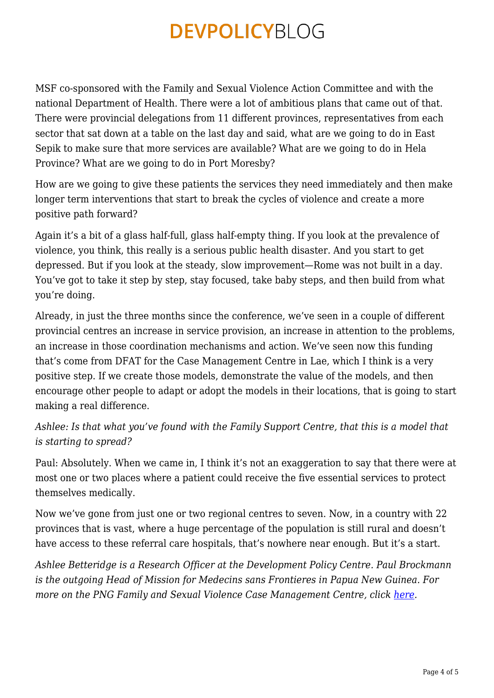MSF co-sponsored with the Family and Sexual Violence Action Committee and with the national Department of Health. There were a lot of ambitious plans that came out of that. There were provincial delegations from 11 different provinces, representatives from each sector that sat down at a table on the last day and said, what are we going to do in East Sepik to make sure that more services are available? What are we going to do in Hela Province? What are we going to do in Port Moresby?

How are we going to give these patients the services they need immediately and then make longer term interventions that start to break the cycles of violence and create a more positive path forward?

Again it's a bit of a glass half-full, glass half-empty thing. If you look at the prevalence of violence, you think, this really is a serious public health disaster. And you start to get depressed. But if you look at the steady, slow improvement—Rome was not built in a day. You've got to take it step by step, stay focused, take baby steps, and then build from what you're doing.

Already, in just the three months since the conference, we've seen in a couple of different provincial centres an increase in service provision, an increase in attention to the problems, an increase in those coordination mechanisms and action. We've seen now this funding that's come from DFAT for the Case Management Centre in Lae, which I think is a very positive step. If we create those models, demonstrate the value of the models, and then encourage other people to adapt or adopt the models in their locations, that is going to start making a real difference.

*Ashlee: Is that what you've found with the Family Support Centre, that this is a model that is starting to spread?*

Paul: Absolutely. When we came in, I think it's not an exaggeration to say that there were at most one or two places where a patient could receive the five essential services to protect themselves medically.

Now we've gone from just one or two regional centres to seven. Now, in a country with 22 provinces that is vast, where a huge percentage of the population is still rural and doesn't have access to these referral care hospitals, that's nowhere near enough. But it's a start.

*Ashlee Betteridge is a Research Officer at the Development Policy Centre. Paul Brockmann is the outgoing Head of Mission for Medecins sans Frontieres in Papua New Guinea. For more on the PNG Family and Sexual Violence Case Management Centre, click [here.](http://www.pngcmc.org/)*